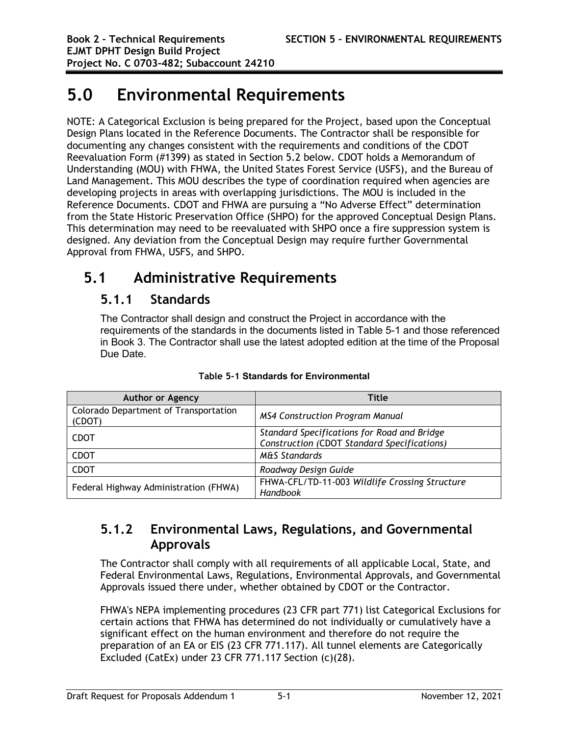# **5.0 Environmental Requirements**

NOTE: A Categorical Exclusion is being prepared for the Project, based upon the Conceptual Design Plans located in the Reference Documents. The Contractor shall be responsible for documenting any changes consistent with the requirements and conditions of the CDOT Reevaluation Form (#1399) as stated in Section 5.2 below. CDOT holds a Memorandum of Understanding (MOU) with FHWA, the United States Forest Service (USFS), and the Bureau of Land Management. This MOU describes the type of coordination required when agencies are developing projects in areas with overlapping jurisdictions. The MOU is included in the Reference Documents. CDOT and FHWA are pursuing a "No Adverse Effect" determination from the State Historic Preservation Office (SHPO) for the approved Conceptual Design Plans. This determination may need to be reevaluated with SHPO once a fire suppression system is designed. Any deviation from the Conceptual Design may require further Governmental Approval from FHWA, USFS, and SHPO.

# **5.1 Administrative Requirements**

## **5.1.1 Standards**

The Contractor shall design and construct the Project in accordance with the requirements of the standards in the documents listed in Table 5-1 and those referenced in Book 3. The Contractor shall use the latest adopted edition at the time of the Proposal Due Date.

| <b>Author or Agency</b>                         | Title                                                                                      |
|-------------------------------------------------|--------------------------------------------------------------------------------------------|
| Colorado Department of Transportation<br>(CDOT) | <b>MS4 Construction Program Manual</b>                                                     |
| <b>CDOT</b>                                     | Standard Specifications for Road and Bridge<br>Construction (CDOT Standard Specifications) |
| <b>CDOT</b>                                     | <b>M&amp;S Standards</b>                                                                   |
| <b>CDOT</b>                                     | Roadway Design Guide                                                                       |
| Federal Highway Administration (FHWA)           | FHWA-CFL/TD-11-003 Wildlife Crossing Structure<br>Handbook                                 |

**Table 5-1 Standards for Environmental**

# **5.1.2 Environmental Laws, Regulations, and Governmental Approvals**

The Contractor shall comply with all requirements of all applicable Local, State, and Federal Environmental Laws, Regulations, Environmental Approvals, and Governmental Approvals issued there under, whether obtained by CDOT or the Contractor.

FHWA's NEPA implementing procedures (23 CFR part 771) list Categorical Exclusions for certain actions that FHWA has determined do not individually or cumulatively have a significant effect on the human environment and therefore do not require the preparation of an EA or EIS (23 CFR 771.117). All tunnel elements are Categorically Excluded (CatEx) under 23 CFR 771.117 Section (c)(28).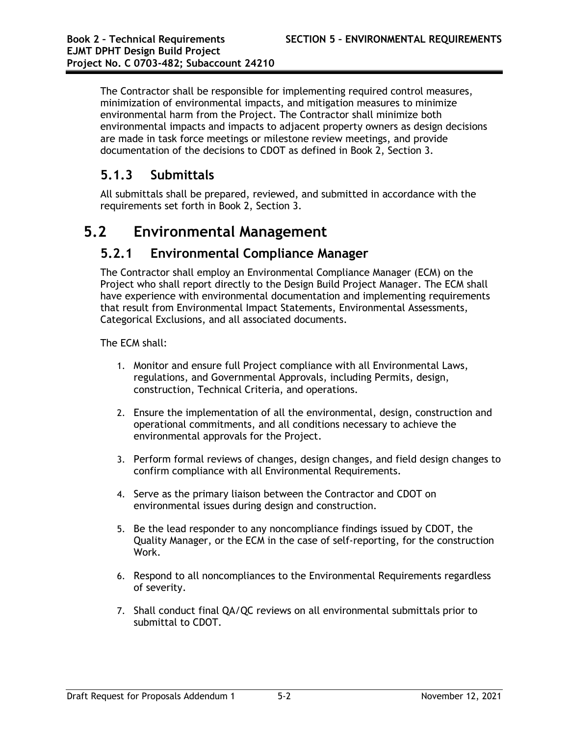The Contractor shall be responsible for implementing required control measures, minimization of environmental impacts, and mitigation measures to minimize environmental harm from the Project. The Contractor shall minimize both environmental impacts and impacts to adjacent property owners as design decisions are made in task force meetings or milestone review meetings, and provide documentation of the decisions to CDOT as defined in Book 2, Section 3.

# **5.1.3 Submittals**

All submittals shall be prepared, reviewed, and submitted in accordance with the requirements set forth in Book 2, Section 3.

# **5.2 Environmental Management**

## **5.2.1 Environmental Compliance Manager**

The Contractor shall employ an Environmental Compliance Manager (ECM) on the Project who shall report directly to the Design Build Project Manager. The ECM shall have experience with environmental documentation and implementing requirements that result from Environmental Impact Statements, Environmental Assessments, Categorical Exclusions, and all associated documents.

The ECM shall:

- 1. Monitor and ensure full Project compliance with all Environmental Laws, regulations, and Governmental Approvals, including Permits, design, construction, Technical Criteria, and operations.
- 2. Ensure the implementation of all the environmental, design, construction and operational commitments, and all conditions necessary to achieve the environmental approvals for the Project.
- 3. Perform formal reviews of changes, design changes, and field design changes to confirm compliance with all Environmental Requirements.
- 4. Serve as the primary liaison between the Contractor and CDOT on environmental issues during design and construction.
- 5. Be the lead responder to any noncompliance findings issued by CDOT, the Quality Manager, or the ECM in the case of self-reporting, for the construction Work.
- 6. Respond to all noncompliances to the Environmental Requirements regardless of severity.
- 7. Shall conduct final QA/QC reviews on all environmental submittals prior to submittal to CDOT.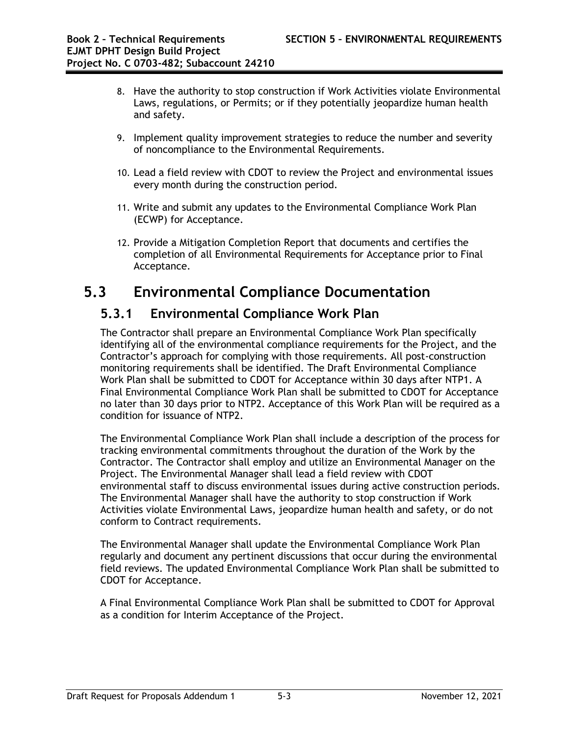- 8. Have the authority to stop construction if Work Activities violate Environmental Laws, regulations, or Permits; or if they potentially jeopardize human health and safety.
- 9. Implement quality improvement strategies to reduce the number and severity of noncompliance to the Environmental Requirements.
- 10. Lead a field review with CDOT to review the Project and environmental issues every month during the construction period.
- 11. Write and submit any updates to the Environmental Compliance Work Plan (ECWP) for Acceptance.
- 12. Provide a Mitigation Completion Report that documents and certifies the completion of all Environmental Requirements for Acceptance prior to Final Acceptance.

# **5.3 Environmental Compliance Documentation**

## **5.3.1 Environmental Compliance Work Plan**

The Contractor shall prepare an Environmental Compliance Work Plan specifically identifying all of the environmental compliance requirements for the Project, and the Contractor's approach for complying with those requirements. All post-construction monitoring requirements shall be identified. The Draft Environmental Compliance Work Plan shall be submitted to CDOT for Acceptance within 30 days after NTP1. A Final Environmental Compliance Work Plan shall be submitted to CDOT for Acceptance no later than 30 days prior to NTP2. Acceptance of this Work Plan will be required as a condition for issuance of NTP2.

The Environmental Compliance Work Plan shall include a description of the process for tracking environmental commitments throughout the duration of the Work by the Contractor. The Contractor shall employ and utilize an Environmental Manager on the Project. The Environmental Manager shall lead a field review with CDOT environmental staff to discuss environmental issues during active construction periods. The Environmental Manager shall have the authority to stop construction if Work Activities violate Environmental Laws, jeopardize human health and safety, or do not conform to Contract requirements.

The Environmental Manager shall update the Environmental Compliance Work Plan regularly and document any pertinent discussions that occur during the environmental field reviews. The updated Environmental Compliance Work Plan shall be submitted to CDOT for Acceptance.

A Final Environmental Compliance Work Plan shall be submitted to CDOT for Approval as a condition for Interim Acceptance of the Project.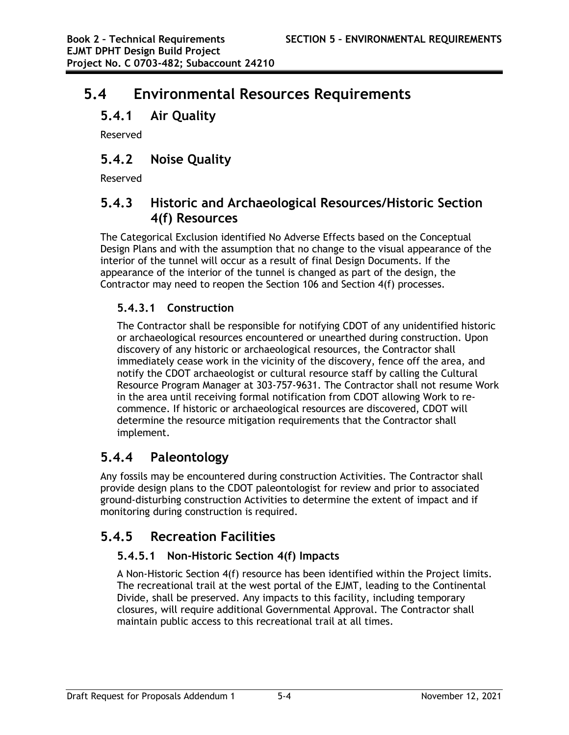# **5.4 Environmental Resources Requirements**

# **5.4.1 Air Quality**

Reserved

# **5.4.2 Noise Quality**

Reserved

## **5.4.3 Historic and Archaeological Resources/Historic Section 4(f) Resources**

The Categorical Exclusion identified No Adverse Effects based on the Conceptual Design Plans and with the assumption that no change to the visual appearance of the interior of the tunnel will occur as a result of final Design Documents. If the appearance of the interior of the tunnel is changed as part of the design, the Contractor may need to reopen the Section 106 and Section 4(f) processes.

### **5.4.3.1 Construction**

The Contractor shall be responsible for notifying CDOT of any unidentified historic or archaeological resources encountered or unearthed during construction. Upon discovery of any historic or archaeological resources, the Contractor shall immediately cease work in the vicinity of the discovery, fence off the area, and notify the CDOT archaeologist or cultural resource staff by calling the Cultural Resource Program Manager at 303-757-9631. The Contractor shall not resume Work in the area until receiving formal notification from CDOT allowing Work to recommence. If historic or archaeological resources are discovered, CDOT will determine the resource mitigation requirements that the Contractor shall implement.

# **5.4.4 Paleontology**

Any fossils may be encountered during construction Activities. The Contractor shall provide design plans to the CDOT paleontologist for review and prior to associated ground-disturbing construction Activities to determine the extent of impact and if monitoring during construction is required.

# **5.4.5 Recreation Facilities**

### **5.4.5.1 Non-Historic Section 4(f) Impacts**

A Non-Historic Section 4(f) resource has been identified within the Project limits. The recreational trail at the west portal of the EJMT, leading to the Continental Divide, shall be preserved. Any impacts to this facility, including temporary closures, will require additional Governmental Approval. The Contractor shall maintain public access to this recreational trail at all times.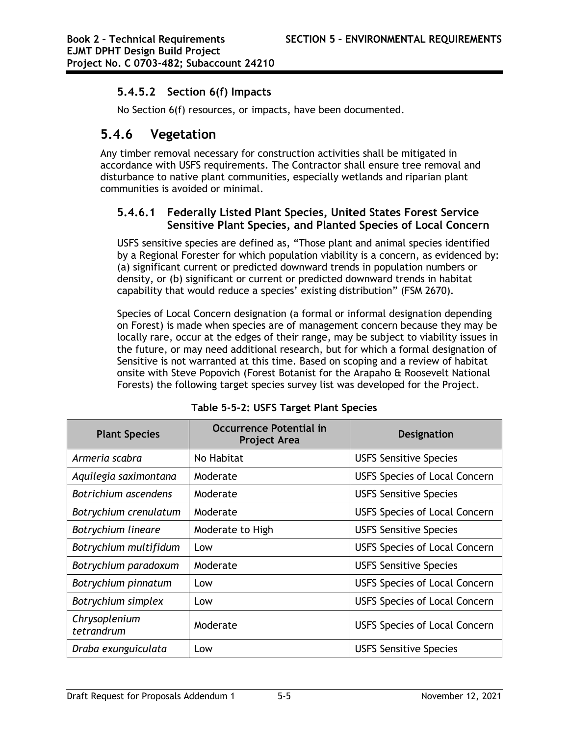### **5.4.5.2 Section 6(f) Impacts**

No Section 6(f) resources, or impacts, have been documented.

## **5.4.6 Vegetation**

Any timber removal necessary for construction activities shall be mitigated in accordance with USFS requirements. The Contractor shall ensure tree removal and disturbance to native plant communities, especially wetlands and riparian plant communities is avoided or minimal.

#### **5.4.6.1 Federally Listed Plant Species, United States Forest Service Sensitive Plant Species, and Planted Species of Local Concern**

USFS sensitive species are defined as, "Those plant and animal species identified by a Regional Forester for which population viability is a concern, as evidenced by: (a) significant current or predicted downward trends in population numbers or density, or (b) significant or current or predicted downward trends in habitat capability that would reduce a species' existing distribution" (FSM 2670).

Species of Local Concern designation (a formal or informal designation depending on Forest) is made when species are of management concern because they may be locally rare, occur at the edges of their range, may be subject to viability issues in the future, or may need additional research, but for which a formal designation of Sensitive is not warranted at this time. Based on scoping and a review of habitat onsite with Steve Popovich (Forest Botanist for the Arapaho & Roosevelt National Forests) the following target species survey list was developed for the Project.

| <b>Plant Species</b>        | <b>Occurrence Potential in</b><br><b>Project Area</b> | <b>Designation</b>                   |
|-----------------------------|-------------------------------------------------------|--------------------------------------|
| Armeria scabra              | No Habitat                                            | <b>USFS Sensitive Species</b>        |
| Aquilegia saximontana       | Moderate                                              | <b>USFS Species of Local Concern</b> |
| Botrichium ascendens        | Moderate                                              | <b>USFS Sensitive Species</b>        |
| Botrychium crenulatum       | Moderate                                              | <b>USFS Species of Local Concern</b> |
| Botrychium lineare          | Moderate to High                                      | <b>USFS Sensitive Species</b>        |
| Botrychium multifidum       | Low                                                   | <b>USFS Species of Local Concern</b> |
| Botrychium paradoxum        | Moderate                                              | <b>USFS Sensitive Species</b>        |
| Botrychium pinnatum         | Low                                                   | <b>USFS Species of Local Concern</b> |
| Botrychium simplex          | Low                                                   | <b>USFS Species of Local Concern</b> |
| Chrysoplenium<br>tetrandrum | Moderate                                              | <b>USFS Species of Local Concern</b> |
| Draba exunguiculata         | Low                                                   | <b>USFS Sensitive Species</b>        |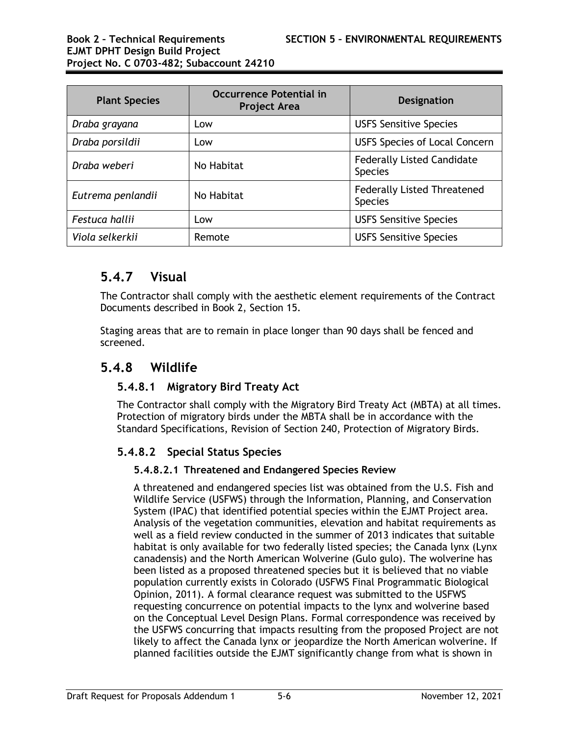| <b>Plant Species</b> | <b>Occurrence Potential in</b><br><b>Project Area</b> | <b>Designation</b>                                   |
|----------------------|-------------------------------------------------------|------------------------------------------------------|
| Draba grayana        | Low                                                   | <b>USFS Sensitive Species</b>                        |
| Draba porsildii      | Low                                                   | <b>USFS Species of Local Concern</b>                 |
| Draba weberi         | No Habitat                                            | <b>Federally Listed Candidate</b><br><b>Species</b>  |
| Eutrema penlandii    | No Habitat                                            | <b>Federally Listed Threatened</b><br><b>Species</b> |
| Festuca hallii       | Low                                                   | <b>USFS Sensitive Species</b>                        |
| Viola selkerkii      | Remote                                                | <b>USFS Sensitive Species</b>                        |

## **5.4.7 Visual**

The Contractor shall comply with the aesthetic element requirements of the Contract Documents described in Book 2, Section 15.

Staging areas that are to remain in place longer than 90 days shall be fenced and screened.

### **5.4.8 Wildlife**

### **5.4.8.1 Migratory Bird Treaty Act**

The Contractor shall comply with the Migratory Bird Treaty Act (MBTA) at all times. Protection of migratory birds under the MBTA shall be in accordance with the Standard Specifications, Revision of Section 240, Protection of Migratory Birds.

### **5.4.8.2 Special Status Species**

#### **5.4.8.2.1 Threatened and Endangered Species Review**

A threatened and endangered species list was obtained from the U.S. Fish and Wildlife Service (USFWS) through the Information, Planning, and Conservation System (IPAC) that identified potential species within the EJMT Project area. Analysis of the vegetation communities, elevation and habitat requirements as well as a field review conducted in the summer of 2013 indicates that suitable habitat is only available for two federally listed species; the Canada lynx (Lynx canadensis) and the North American Wolverine (Gulo gulo). The wolverine has been listed as a proposed threatened species but it is believed that no viable population currently exists in Colorado (USFWS Final Programmatic Biological Opinion, 2011). A formal clearance request was submitted to the USFWS requesting concurrence on potential impacts to the lynx and wolverine based on the Conceptual Level Design Plans. Formal correspondence was received by the USFWS concurring that impacts resulting from the proposed Project are not likely to affect the Canada lynx or jeopardize the North American wolverine. If planned facilities outside the EJMT significantly change from what is shown in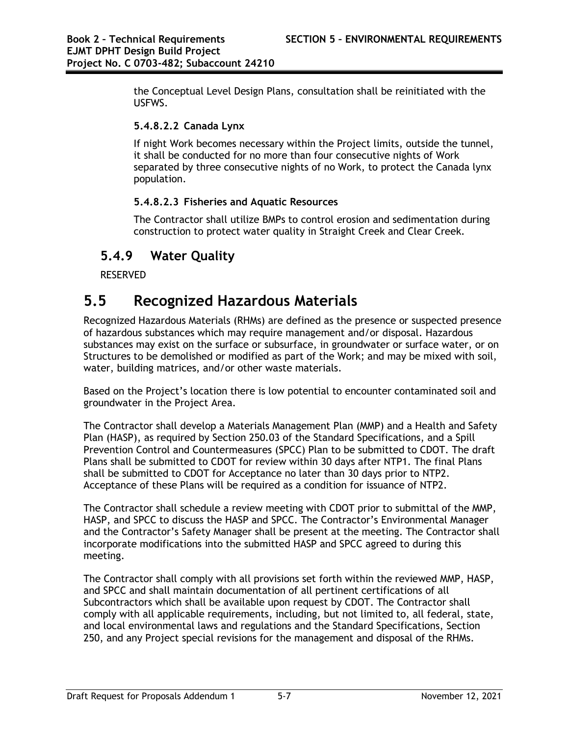the Conceptual Level Design Plans, consultation shall be reinitiated with the USFWS.

#### **5.4.8.2.2 Canada Lynx**

If night Work becomes necessary within the Project limits, outside the tunnel, it shall be conducted for no more than four consecutive nights of Work separated by three consecutive nights of no Work, to protect the Canada lynx population.

#### **5.4.8.2.3 Fisheries and Aquatic Resources**

The Contractor shall utilize BMPs to control erosion and sedimentation during construction to protect water quality in Straight Creek and Clear Creek.

## **5.4.9 Water Quality**

RESERVED

# **5.5 Recognized Hazardous Materials**

Recognized Hazardous Materials (RHMs) are defined as the presence or suspected presence of hazardous substances which may require management and/or disposal. Hazardous substances may exist on the surface or subsurface, in groundwater or surface water, or on Structures to be demolished or modified as part of the Work; and may be mixed with soil, water, building matrices, and/or other waste materials.

Based on the Project's location there is low potential to encounter contaminated soil and groundwater in the Project Area.

The Contractor shall develop a Materials Management Plan (MMP) and a Health and Safety Plan (HASP), as required by Section 250.03 of the Standard Specifications, and a Spill Prevention Control and Countermeasures (SPCC) Plan to be submitted to CDOT. The draft Plans shall be submitted to CDOT for review within 30 days after NTP1. The final Plans shall be submitted to CDOT for Acceptance no later than 30 days prior to NTP2. Acceptance of these Plans will be required as a condition for issuance of NTP2.

The Contractor shall schedule a review meeting with CDOT prior to submittal of the MMP, HASP, and SPCC to discuss the HASP and SPCC. The Contractor's Environmental Manager and the Contractor's Safety Manager shall be present at the meeting. The Contractor shall incorporate modifications into the submitted HASP and SPCC agreed to during this meeting.

The Contractor shall comply with all provisions set forth within the reviewed MMP, HASP, and SPCC and shall maintain documentation of all pertinent certifications of all Subcontractors which shall be available upon request by CDOT. The Contractor shall comply with all applicable requirements, including, but not limited to, all federal, state, and local environmental laws and regulations and the Standard Specifications, Section 250, and any Project special revisions for the management and disposal of the RHMs.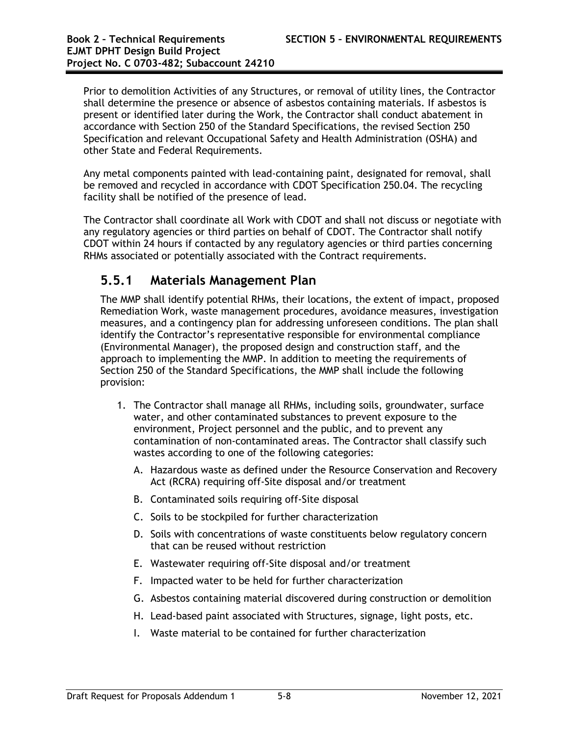Prior to demolition Activities of any Structures, or removal of utility lines, the Contractor shall determine the presence or absence of asbestos containing materials. If asbestos is present or identified later during the Work, the Contractor shall conduct abatement in accordance with Section 250 of the Standard Specifications, the revised Section 250 Specification and relevant Occupational Safety and Health Administration (OSHA) and other State and Federal Requirements.

Any metal components painted with lead-containing paint, designated for removal, shall be removed and recycled in accordance with CDOT Specification 250.04. The recycling facility shall be notified of the presence of lead.

The Contractor shall coordinate all Work with CDOT and shall not discuss or negotiate with any regulatory agencies or third parties on behalf of CDOT. The Contractor shall notify CDOT within 24 hours if contacted by any regulatory agencies or third parties concerning RHMs associated or potentially associated with the Contract requirements.

### **5.5.1 Materials Management Plan**

The MMP shall identify potential RHMs, their locations, the extent of impact, proposed Remediation Work, waste management procedures, avoidance measures, investigation measures, and a contingency plan for addressing unforeseen conditions. The plan shall identify the Contractor's representative responsible for environmental compliance (Environmental Manager), the proposed design and construction staff, and the approach to implementing the MMP. In addition to meeting the requirements of Section 250 of the Standard Specifications, the MMP shall include the following provision:

- 1. The Contractor shall manage all RHMs, including soils, groundwater, surface water, and other contaminated substances to prevent exposure to the environment, Project personnel and the public, and to prevent any contamination of non-contaminated areas. The Contractor shall classify such wastes according to one of the following categories:
	- A. Hazardous waste as defined under the Resource Conservation and Recovery Act (RCRA) requiring off-Site disposal and/or treatment
	- B. Contaminated soils requiring off-Site disposal
	- C. Soils to be stockpiled for further characterization
	- D. Soils with concentrations of waste constituents below regulatory concern that can be reused without restriction
	- E. Wastewater requiring off-Site disposal and/or treatment
	- F. Impacted water to be held for further characterization
	- G. Asbestos containing material discovered during construction or demolition
	- H. Lead-based paint associated with Structures, signage, light posts, etc.
	- I. Waste material to be contained for further characterization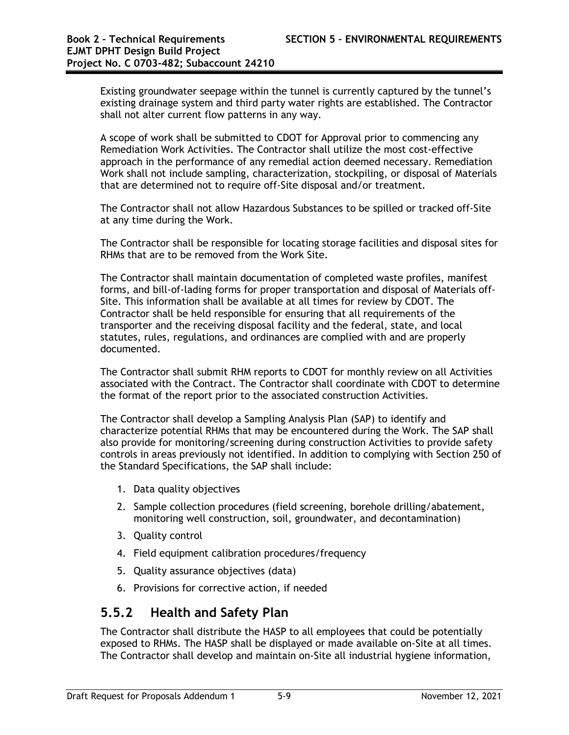Existing groundwater seepage within the tunnel is currently captured by the tunnel's existing drainage system and third party water rights are established. The Contractor shall not alter current flow patterns in any way.

A scope of work shall be submitted to CDOT for Approval prior to commencing any Remediation Work Activities. The Contractor shall utilize the most cost-effective approach in the performance of any remedial action deemed necessary. Remediation Work shall not include sampling, characterization, stockpiling, or disposal of Materials that are determined not to require off-Site disposal and/or treatment.

The Contractor shall not allow Hazardous Substances to be spilled or tracked off-Site at any time during the Work.

The Contractor shall be responsible for locating storage facilities and disposal sites for RHMs that are to be removed from the Work Site.

The Contractor shall maintain documentation of completed waste profiles, manifest forms, and bill-of-lading forms for proper transportation and disposal of Materials off-Site. This information shall be available at all times for review by CDOT. The Contractor shall be held responsible for ensuring that all requirements of the transporter and the receiving disposal facility and the federal, state, and local statutes, rules, regulations, and ordinances are complied with and are properly documented.

The Contractor shall submit RHM reports to CDOT for monthly review on all Activities associated with the Contract. The Contractor shall coordinate with CDOT to determine the format of the report prior to the associated construction Activities.

The Contractor shall develop a Sampling Analysis Plan (SAP) to identify and characterize potential RHMs that may be encountered during the Work. The SAP shall also provide for monitoring/screening during construction Activities to provide safety controls in areas previously not identified. In addition to complying with Section 250 of the Standard Specifications, the SAP shall include:

- 1. Data quality objectives
- 2. Sample collection procedures (field screening, borehole drilling/abatement, monitoring well construction, soil, groundwater, and decontamination)
- 3. Quality control
- 4. Field equipment calibration procedures/frequency
- 5. Quality assurance objectives (data)
- 6. Provisions for corrective action, if needed

### **5.5.2 Health and Safety Plan**

The Contractor shall distribute the HASP to all employees that could be potentially exposed to RHMs. The HASP shall be displayed or made available on-Site at all times. The Contractor shall develop and maintain on-Site all industrial hygiene information,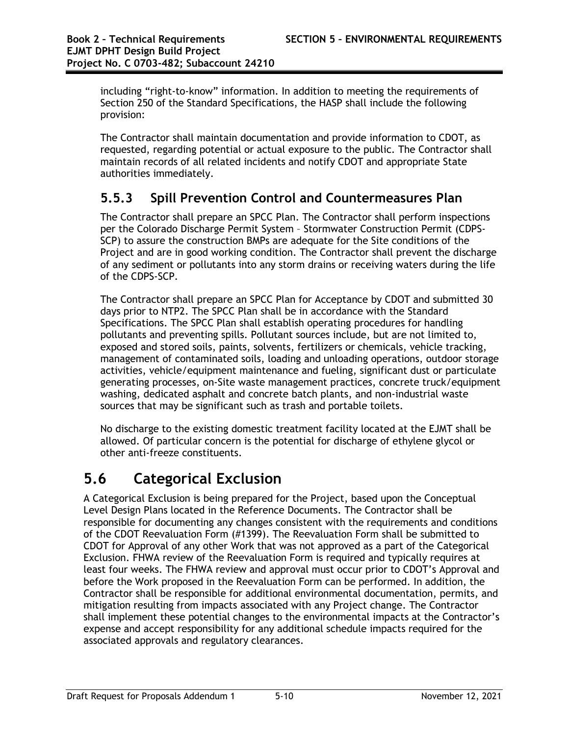including "right-to-know" information. In addition to meeting the requirements of Section 250 of the Standard Specifications, the HASP shall include the following provision:

The Contractor shall maintain documentation and provide information to CDOT, as requested, regarding potential or actual exposure to the public. The Contractor shall maintain records of all related incidents and notify CDOT and appropriate State authorities immediately.

# **5.5.3 Spill Prevention Control and Countermeasures Plan**

The Contractor shall prepare an SPCC Plan. The Contractor shall perform inspections per the Colorado Discharge Permit System – Stormwater Construction Permit (CDPS-SCP) to assure the construction BMPs are adequate for the Site conditions of the Project and are in good working condition. The Contractor shall prevent the discharge of any sediment or pollutants into any storm drains or receiving waters during the life of the CDPS-SCP.

The Contractor shall prepare an SPCC Plan for Acceptance by CDOT and submitted 30 days prior to NTP2. The SPCC Plan shall be in accordance with the Standard Specifications. The SPCC Plan shall establish operating procedures for handling pollutants and preventing spills. Pollutant sources include, but are not limited to, exposed and stored soils, paints, solvents, fertilizers or chemicals, vehicle tracking, management of contaminated soils, loading and unloading operations, outdoor storage activities, vehicle/equipment maintenance and fueling, significant dust or particulate generating processes, on-Site waste management practices, concrete truck/equipment washing, dedicated asphalt and concrete batch plants, and non-industrial waste sources that may be significant such as trash and portable toilets.

No discharge to the existing domestic treatment facility located at the EJMT shall be allowed. Of particular concern is the potential for discharge of ethylene glycol or other anti-freeze constituents.

# **5.6 Categorical Exclusion**

A Categorical Exclusion is being prepared for the Project, based upon the Conceptual Level Design Plans located in the Reference Documents. The Contractor shall be responsible for documenting any changes consistent with the requirements and conditions of the CDOT Reevaluation Form (#1399). The Reevaluation Form shall be submitted to CDOT for Approval of any other Work that was not approved as a part of the Categorical Exclusion. FHWA review of the Reevaluation Form is required and typically requires at least four weeks. The FHWA review and approval must occur prior to CDOT's Approval and before the Work proposed in the Reevaluation Form can be performed. In addition, the Contractor shall be responsible for additional environmental documentation, permits, and mitigation resulting from impacts associated with any Project change. The Contractor shall implement these potential changes to the environmental impacts at the Contractor's expense and accept responsibility for any additional schedule impacts required for the associated approvals and regulatory clearances.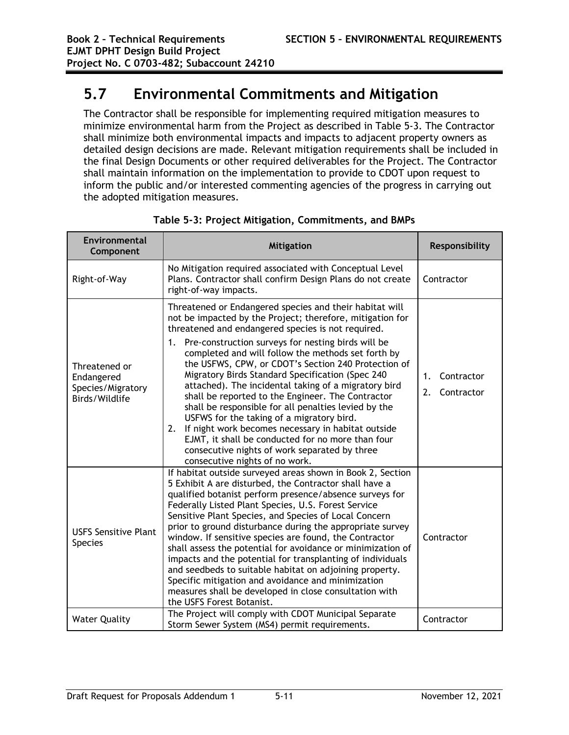# **5.7 Environmental Commitments and Mitigation**

The Contractor shall be responsible for implementing required mitigation measures to minimize environmental harm from the Project as described in Table 5-3. The Contractor shall minimize both environmental impacts and impacts to adjacent property owners as detailed design decisions are made. Relevant mitigation requirements shall be included in the final Design Documents or other required deliverables for the Project. The Contractor shall maintain information on the implementation to provide to CDOT upon request to inform the public and/or interested commenting agencies of the progress in carrying out the adopted mitigation measures.

| Environmental<br>Component                                         | <b>Mitigation</b>                                                                                                                                                                                                                                                                                                                                                                                                                                                                                                                                                                                                                                                                                                                                                                                                             | Responsibility                       |
|--------------------------------------------------------------------|-------------------------------------------------------------------------------------------------------------------------------------------------------------------------------------------------------------------------------------------------------------------------------------------------------------------------------------------------------------------------------------------------------------------------------------------------------------------------------------------------------------------------------------------------------------------------------------------------------------------------------------------------------------------------------------------------------------------------------------------------------------------------------------------------------------------------------|--------------------------------------|
| Right-of-Way                                                       | No Mitigation required associated with Conceptual Level<br>Plans. Contractor shall confirm Design Plans do not create<br>right-of-way impacts.                                                                                                                                                                                                                                                                                                                                                                                                                                                                                                                                                                                                                                                                                | Contractor                           |
| Threatened or<br>Endangered<br>Species/Migratory<br>Birds/Wildlife | Threatened or Endangered species and their habitat will<br>not be impacted by the Project; therefore, mitigation for<br>threatened and endangered species is not required.<br>Pre-construction surveys for nesting birds will be<br>1.<br>completed and will follow the methods set forth by<br>the USFWS, CPW, or CDOT's Section 240 Protection of<br>Migratory Birds Standard Specification (Spec 240<br>attached). The incidental taking of a migratory bird<br>shall be reported to the Engineer. The Contractor<br>shall be responsible for all penalties levied by the<br>USFWS for the taking of a migratory bird.<br>If night work becomes necessary in habitat outside<br>2.<br>EJMT, it shall be conducted for no more than four<br>consecutive nights of work separated by three<br>consecutive nights of no work. | 1.<br>Contractor<br>2.<br>Contractor |
| <b>USFS Sensitive Plant</b><br><b>Species</b>                      | If habitat outside surveyed areas shown in Book 2, Section<br>5 Exhibit A are disturbed, the Contractor shall have a<br>qualified botanist perform presence/absence surveys for<br>Federally Listed Plant Species, U.S. Forest Service<br>Sensitive Plant Species, and Species of Local Concern<br>prior to ground disturbance during the appropriate survey<br>window. If sensitive species are found, the Contractor<br>shall assess the potential for avoidance or minimization of<br>impacts and the potential for transplanting of individuals<br>and seedbeds to suitable habitat on adjoining property.<br>Specific mitigation and avoidance and minimization<br>measures shall be developed in close consultation with<br>the USFS Forest Botanist.                                                                   | Contractor                           |
| <b>Water Quality</b>                                               | The Project will comply with CDOT Municipal Separate<br>Storm Sewer System (MS4) permit requirements.                                                                                                                                                                                                                                                                                                                                                                                                                                                                                                                                                                                                                                                                                                                         | Contractor                           |

**Table 5-3: Project Mitigation, Commitments, and BMPs**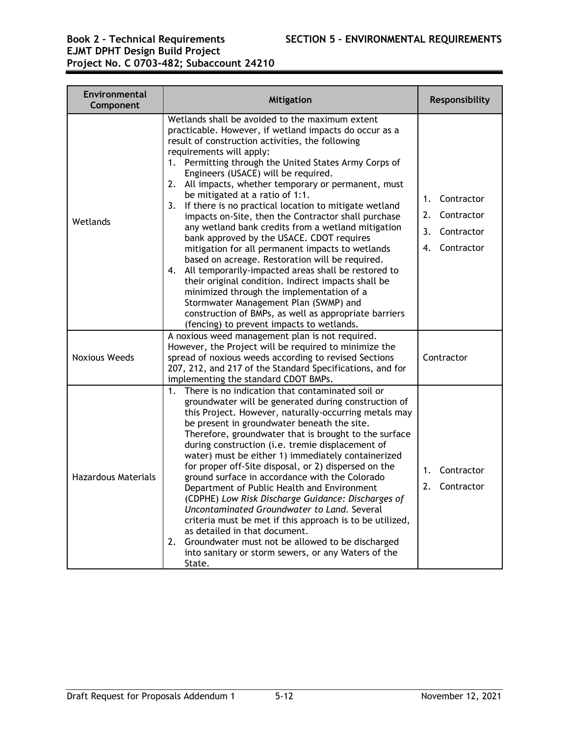#### **Book 2 – Technical Requirements SECTION 5 – ENVIRONMENTAL REQUIREMENTS EJMT DPHT Design Build Project Project No. C 0703-482; Subaccount 24210**

| Environmental<br>Component | <b>Mitigation</b>                                                                                                                                                                                                                                                                                                                                                                                                                                                                                                                                                                                                                                                                                                                                                                                                                                                                                                                                                                                                                 | Responsibility                                                            |
|----------------------------|-----------------------------------------------------------------------------------------------------------------------------------------------------------------------------------------------------------------------------------------------------------------------------------------------------------------------------------------------------------------------------------------------------------------------------------------------------------------------------------------------------------------------------------------------------------------------------------------------------------------------------------------------------------------------------------------------------------------------------------------------------------------------------------------------------------------------------------------------------------------------------------------------------------------------------------------------------------------------------------------------------------------------------------|---------------------------------------------------------------------------|
| Wetlands                   | Wetlands shall be avoided to the maximum extent<br>practicable. However, if wetland impacts do occur as a<br>result of construction activities, the following<br>requirements will apply:<br>1. Permitting through the United States Army Corps of<br>Engineers (USACE) will be required.<br>2. All impacts, whether temporary or permanent, must<br>be mitigated at a ratio of 1:1.<br>If there is no practical location to mitigate wetland<br>3.<br>impacts on-Site, then the Contractor shall purchase<br>any wetland bank credits from a wetland mitigation<br>bank approved by the USACE. CDOT requires<br>mitigation for all permanent impacts to wetlands<br>based on acreage. Restoration will be required.<br>4. All temporarily-impacted areas shall be restored to<br>their original condition. Indirect impacts shall be<br>minimized through the implementation of a<br>Stormwater Management Plan (SWMP) and<br>construction of BMPs, as well as appropriate barriers<br>(fencing) to prevent impacts to wetlands. | Contractor<br>1.<br>Contractor<br>2.<br>Contractor<br>3.<br>4. Contractor |
| <b>Noxious Weeds</b>       | A noxious weed management plan is not required.<br>However, the Project will be required to minimize the<br>spread of noxious weeds according to revised Sections<br>207, 212, and 217 of the Standard Specifications, and for<br>implementing the standard CDOT BMPs.                                                                                                                                                                                                                                                                                                                                                                                                                                                                                                                                                                                                                                                                                                                                                            | Contractor                                                                |
| <b>Hazardous Materials</b> | There is no indication that contaminated soil or<br>$1_{\cdot}$<br>groundwater will be generated during construction of<br>this Project. However, naturally-occurring metals may<br>be present in groundwater beneath the site.<br>Therefore, groundwater that is brought to the surface<br>during construction (i.e. tremie displacement of<br>water) must be either 1) immediately containerized<br>for proper off-Site disposal, or 2) dispersed on the<br>ground surface in accordance with the Colorado<br>Department of Public Health and Environment<br>(CDPHE) Low Risk Discharge Guidance: Discharges of<br>Uncontaminated Groundwater to Land. Several<br>criteria must be met if this approach is to be utilized,<br>as detailed in that document.<br>2.<br>Groundwater must not be allowed to be discharged<br>into sanitary or storm sewers, or any Waters of the<br>State.                                                                                                                                          | $1_{-}$<br>Contractor<br>2.<br>Contractor                                 |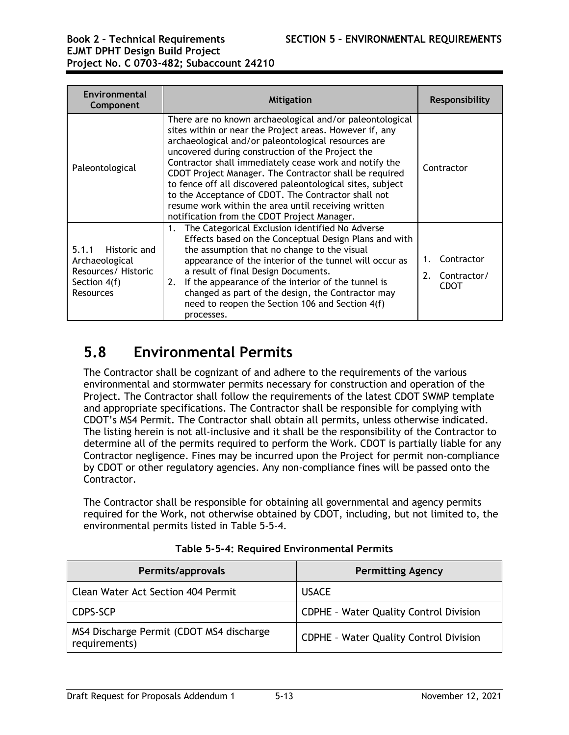# **EJMT DPHT Design Build Project Project No. C 0703-482; Subaccount 24210**

| Environmental<br>Component                                                                         | <b>Mitigation</b>                                                                                                                                                                                                                                                                                                                                                                                                                                                                                                                                                             | <b>Responsibility</b>                          |
|----------------------------------------------------------------------------------------------------|-------------------------------------------------------------------------------------------------------------------------------------------------------------------------------------------------------------------------------------------------------------------------------------------------------------------------------------------------------------------------------------------------------------------------------------------------------------------------------------------------------------------------------------------------------------------------------|------------------------------------------------|
| Paleontological                                                                                    | There are no known archaeological and/or paleontological<br>sites within or near the Project areas. However if, any<br>archaeological and/or paleontological resources are<br>uncovered during construction of the Project the<br>Contractor shall immediately cease work and notify the<br>CDOT Project Manager. The Contractor shall be required<br>to fence off all discovered paleontological sites, subject<br>to the Acceptance of CDOT. The Contractor shall not<br>resume work within the area until receiving written<br>notification from the CDOT Project Manager. | Contractor                                     |
| 5.1.1<br>Historic and<br>Archaeological<br>Resources/ Historic<br>Section 4(f)<br><b>Resources</b> | The Categorical Exclusion identified No Adverse<br>1.<br>Effects based on the Conceptual Design Plans and with<br>the assumption that no change to the visual<br>appearance of the interior of the tunnel will occur as<br>a result of final Design Documents.<br>If the appearance of the interior of the tunnel is<br>2.<br>changed as part of the design, the Contractor may<br>need to reopen the Section 106 and Section 4(f)<br>processes.                                                                                                                              | Contractor<br>2.<br>Contractor/<br><b>CDOT</b> |

# **5.8 Environmental Permits**

The Contractor shall be cognizant of and adhere to the requirements of the various environmental and stormwater permits necessary for construction and operation of the Project. The Contractor shall follow the requirements of the latest CDOT SWMP template and appropriate specifications. The Contractor shall be responsible for complying with CDOT's MS4 Permit. The Contractor shall obtain all permits, unless otherwise indicated. The listing herein is not all-inclusive and it shall be the responsibility of the Contractor to determine all of the permits required to perform the Work. CDOT is partially liable for any Contractor negligence. Fines may be incurred upon the Project for permit non-compliance by CDOT or other regulatory agencies. Any non-compliance fines will be passed onto the Contractor.

The Contractor shall be responsible for obtaining all governmental and agency permits required for the Work, not otherwise obtained by CDOT, including, but not limited to, the environmental permits listed in Table 5-5-4.

| Permits/approvals                                         | <b>Permitting Agency</b>                      |
|-----------------------------------------------------------|-----------------------------------------------|
| Clean Water Act Section 404 Permit                        | <b>USACE</b>                                  |
| CDPS-SCP                                                  | <b>CDPHE - Water Quality Control Division</b> |
| MS4 Discharge Permit (CDOT MS4 discharge<br>requirements) | <b>CDPHE - Water Quality Control Division</b> |

**Table 5-5-4: Required Environmental Permits**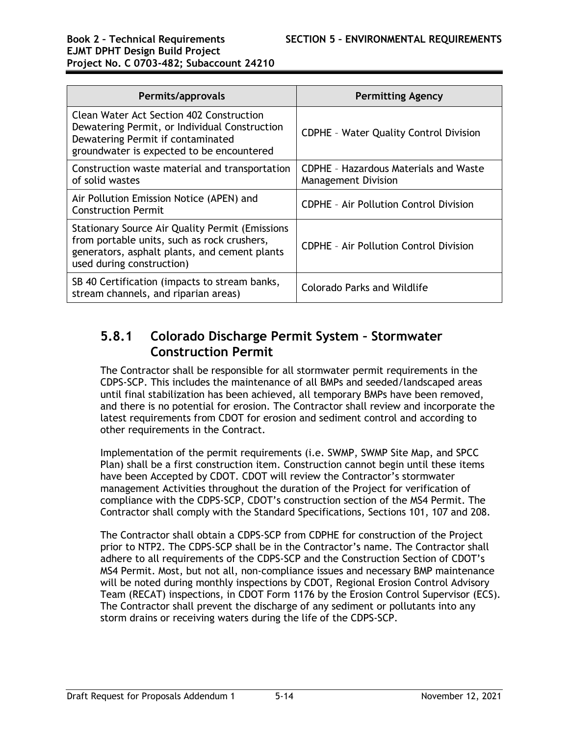# **EJMT DPHT Design Build Project Project No. C 0703-482; Subaccount 24210**

| Permits/approvals                                                                                                                                                                   | <b>Permitting Agency</b>                                                   |
|-------------------------------------------------------------------------------------------------------------------------------------------------------------------------------------|----------------------------------------------------------------------------|
| Clean Water Act Section 402 Construction<br>Dewatering Permit, or Individual Construction<br>Dewatering Permit if contaminated<br>groundwater is expected to be encountered         | <b>CDPHE - Water Quality Control Division</b>                              |
| Construction waste material and transportation<br>of solid wastes                                                                                                                   | <b>CDPHE - Hazardous Materials and Waste</b><br><b>Management Division</b> |
| Air Pollution Emission Notice (APEN) and<br><b>Construction Permit</b>                                                                                                              | <b>CDPHE - Air Pollution Control Division</b>                              |
| <b>Stationary Source Air Quality Permit (Emissions</b><br>from portable units, such as rock crushers,<br>generators, asphalt plants, and cement plants<br>used during construction) | <b>CDPHE - Air Pollution Control Division</b>                              |
| SB 40 Certification (impacts to stream banks,<br>stream channels, and riparian areas)                                                                                               | Colorado Parks and Wildlife                                                |

## **5.8.1 Colorado Discharge Permit System – Stormwater Construction Permit**

The Contractor shall be responsible for all stormwater permit requirements in the CDPS-SCP. This includes the maintenance of all BMPs and seeded/landscaped areas until final stabilization has been achieved, all temporary BMPs have been removed, and there is no potential for erosion. The Contractor shall review and incorporate the latest requirements from CDOT for erosion and sediment control and according to other requirements in the Contract.

Implementation of the permit requirements (i.e. SWMP, SWMP Site Map, and SPCC Plan) shall be a first construction item. Construction cannot begin until these items have been Accepted by CDOT. CDOT will review the Contractor's stormwater management Activities throughout the duration of the Project for verification of compliance with the CDPS-SCP, CDOT's construction section of the MS4 Permit. The Contractor shall comply with the Standard Specifications*,* Sections 101, 107 and 208.

The Contractor shall obtain a CDPS-SCP from CDPHE for construction of the Project prior to NTP2. The CDPS-SCP shall be in the Contractor's name. The Contractor shall adhere to all requirements of the CDPS-SCP and the Construction Section of CDOT's MS4 Permit. Most, but not all, non-compliance issues and necessary BMP maintenance will be noted during monthly inspections by CDOT, Regional Erosion Control Advisory Team (RECAT) inspections, in CDOT Form 1176 by the Erosion Control Supervisor (ECS). The Contractor shall prevent the discharge of any sediment or pollutants into any storm drains or receiving waters during the life of the CDPS-SCP.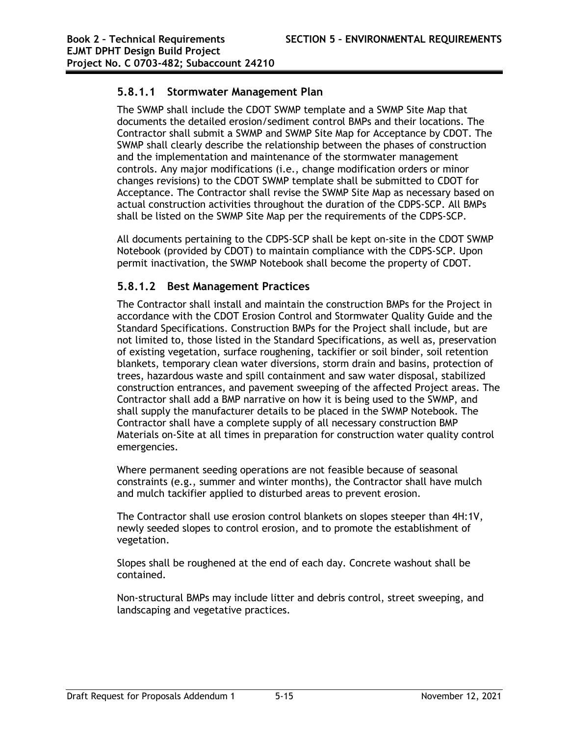### **5.8.1.1 Stormwater Management Plan**

The SWMP shall include the CDOT SWMP template and a SWMP Site Map that documents the detailed erosion/sediment control BMPs and their locations. The Contractor shall submit a SWMP and SWMP Site Map for Acceptance by CDOT. The SWMP shall clearly describe the relationship between the phases of construction and the implementation and maintenance of the stormwater management controls. Any major modifications (i.e., change modification orders or minor changes revisions) to the CDOT SWMP template shall be submitted to CDOT for Acceptance. The Contractor shall revise the SWMP Site Map as necessary based on actual construction activities throughout the duration of the CDPS-SCP. All BMPs shall be listed on the SWMP Site Map per the requirements of the CDPS-SCP.

All documents pertaining to the CDPS-SCP shall be kept on-site in the CDOT SWMP Notebook (provided by CDOT) to maintain compliance with the CDPS-SCP. Upon permit inactivation, the SWMP Notebook shall become the property of CDOT.

### **5.8.1.2 Best Management Practices**

The Contractor shall install and maintain the construction BMPs for the Project in accordance with the CDOT Erosion Control and Stormwater Quality Guide and the Standard Specifications. Construction BMPs for the Project shall include, but are not limited to, those listed in the Standard Specifications, as well as, preservation of existing vegetation, surface roughening, tackifier or soil binder, soil retention blankets, temporary clean water diversions, storm drain and basins, protection of trees, hazardous waste and spill containment and saw water disposal, stabilized construction entrances, and pavement sweeping of the affected Project areas. The Contractor shall add a BMP narrative on how it is being used to the SWMP, and shall supply the manufacturer details to be placed in the SWMP Notebook. The Contractor shall have a complete supply of all necessary construction BMP Materials on-Site at all times in preparation for construction water quality control emergencies.

Where permanent seeding operations are not feasible because of seasonal constraints (e.g., summer and winter months), the Contractor shall have mulch and mulch tackifier applied to disturbed areas to prevent erosion.

The Contractor shall use erosion control blankets on slopes steeper than 4H:1V, newly seeded slopes to control erosion, and to promote the establishment of vegetation.

Slopes shall be roughened at the end of each day. Concrete washout shall be contained.

Non-structural BMPs may include litter and debris control, street sweeping, and landscaping and vegetative practices.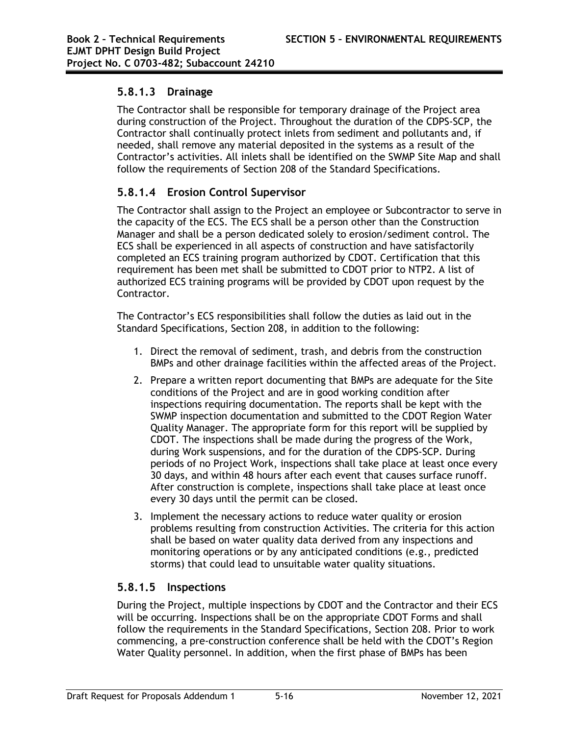#### **5.8.1.3 Drainage**

The Contractor shall be responsible for temporary drainage of the Project area during construction of the Project. Throughout the duration of the CDPS-SCP, the Contractor shall continually protect inlets from sediment and pollutants and, if needed, shall remove any material deposited in the systems as a result of the Contractor's activities. All inlets shall be identified on the SWMP Site Map and shall follow the requirements of Section 208 of the Standard Specifications.

### **5.8.1.4 Erosion Control Supervisor**

The Contractor shall assign to the Project an employee or Subcontractor to serve in the capacity of the ECS. The ECS shall be a person other than the Construction Manager and shall be a person dedicated solely to erosion/sediment control. The ECS shall be experienced in all aspects of construction and have satisfactorily completed an ECS training program authorized by CDOT. Certification that this requirement has been met shall be submitted to CDOT prior to NTP2. A list of authorized ECS training programs will be provided by CDOT upon request by the Contractor.

The Contractor's ECS responsibilities shall follow the duties as laid out in the Standard Specifications*,* Section 208, in addition to the following:

- 1. Direct the removal of sediment, trash, and debris from the construction BMPs and other drainage facilities within the affected areas of the Project.
- 2. Prepare a written report documenting that BMPs are adequate for the Site conditions of the Project and are in good working condition after inspections requiring documentation. The reports shall be kept with the SWMP inspection documentation and submitted to the CDOT Region Water Quality Manager. The appropriate form for this report will be supplied by CDOT. The inspections shall be made during the progress of the Work, during Work suspensions, and for the duration of the CDPS-SCP. During periods of no Project Work, inspections shall take place at least once every 30 days, and within 48 hours after each event that causes surface runoff. After construction is complete, inspections shall take place at least once every 30 days until the permit can be closed.
- 3. Implement the necessary actions to reduce water quality or erosion problems resulting from construction Activities. The criteria for this action shall be based on water quality data derived from any inspections and monitoring operations or by any anticipated conditions (e.g., predicted storms) that could lead to unsuitable water quality situations.

### **5.8.1.5 Inspections**

During the Project, multiple inspections by CDOT and the Contractor and their ECS will be occurring. Inspections shall be on the appropriate CDOT Forms and shall follow the requirements in the Standard Specifications, Section 208. Prior to work commencing, a pre-construction conference shall be held with the CDOT's Region Water Quality personnel. In addition, when the first phase of BMPs has been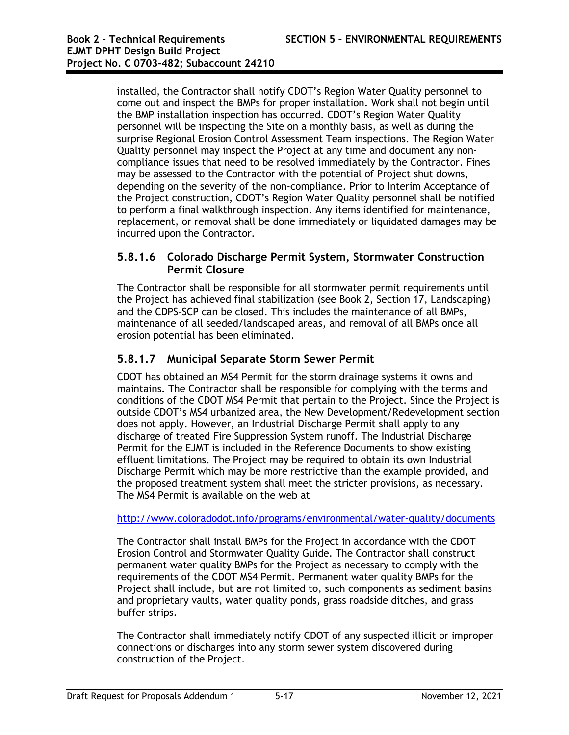installed, the Contractor shall notify CDOT's Region Water Quality personnel to come out and inspect the BMPs for proper installation. Work shall not begin until the BMP installation inspection has occurred. CDOT's Region Water Quality personnel will be inspecting the Site on a monthly basis, as well as during the surprise Regional Erosion Control Assessment Team inspections. The Region Water Quality personnel may inspect the Project at any time and document any noncompliance issues that need to be resolved immediately by the Contractor. Fines may be assessed to the Contractor with the potential of Project shut downs, depending on the severity of the non-compliance. Prior to Interim Acceptance of the Project construction, CDOT's Region Water Quality personnel shall be notified to perform a final walkthrough inspection. Any items identified for maintenance, replacement, or removal shall be done immediately or liquidated damages may be incurred upon the Contractor.

#### **5.8.1.6 Colorado Discharge Permit System, Stormwater Construction Permit Closure**

The Contractor shall be responsible for all stormwater permit requirements until the Project has achieved final stabilization (see Book 2, Section 17, Landscaping) and the CDPS-SCP can be closed. This includes the maintenance of all BMPs, maintenance of all seeded/landscaped areas, and removal of all BMPs once all erosion potential has been eliminated.

### **5.8.1.7 Municipal Separate Storm Sewer Permit**

CDOT has obtained an MS4 Permit for the storm drainage systems it owns and maintains. The Contractor shall be responsible for complying with the terms and conditions of the CDOT MS4 Permit that pertain to the Project. Since the Project is outside CDOT's MS4 urbanized area, the New Development/Redevelopment section does not apply. However, an Industrial Discharge Permit shall apply to any discharge of treated Fire Suppression System runoff. The Industrial Discharge Permit for the EJMT is included in the Reference Documents to show existing effluent limitations. The Project may be required to obtain its own Industrial Discharge Permit which may be more restrictive than the example provided, and the proposed treatment system shall meet the stricter provisions, as necessary. The MS4 Permit is available on the web at

#### http://www.coloradodot.info/programs/environmental/water-quality/documents

The Contractor shall install BMPs for the Project in accordance with the CDOT Erosion Control and Stormwater Quality Guide. The Contractor shall construct permanent water quality BMPs for the Project as necessary to comply with the requirements of the CDOT MS4 Permit. Permanent water quality BMPs for the Project shall include, but are not limited to, such components as sediment basins and proprietary vaults, water quality ponds, grass roadside ditches, and grass buffer strips.

The Contractor shall immediately notify CDOT of any suspected illicit or improper connections or discharges into any storm sewer system discovered during construction of the Project.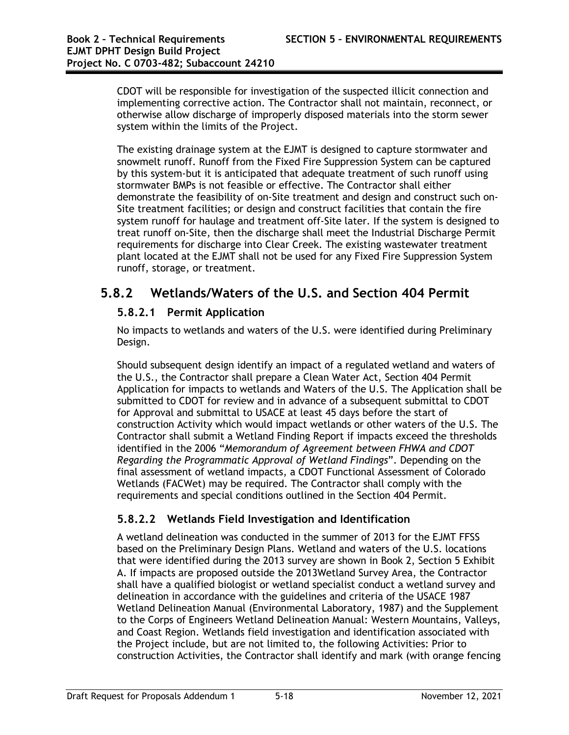CDOT will be responsible for investigation of the suspected illicit connection and implementing corrective action. The Contractor shall not maintain, reconnect, or otherwise allow discharge of improperly disposed materials into the storm sewer system within the limits of the Project.

The existing drainage system at the EJMT is designed to capture stormwater and snowmelt runoff. Runoff from the Fixed Fire Suppression System can be captured by this system-but it is anticipated that adequate treatment of such runoff using stormwater BMPs is not feasible or effective. The Contractor shall either demonstrate the feasibility of on-Site treatment and design and construct such on-Site treatment facilities; or design and construct facilities that contain the fire system runoff for haulage and treatment off-Site later. If the system is designed to treat runoff on-Site, then the discharge shall meet the Industrial Discharge Permit requirements for discharge into Clear Creek. The existing wastewater treatment plant located at the EJMT shall not be used for any Fixed Fire Suppression System runoff, storage, or treatment.

## **5.8.2 Wetlands/Waters of the U.S. and Section 404 Permit**

### **5.8.2.1 Permit Application**

No impacts to wetlands and waters of the U.S. were identified during Preliminary Design.

Should subsequent design identify an impact of a regulated wetland and waters of the U.S., the Contractor shall prepare a Clean Water Act, Section 404 Permit Application for impacts to wetlands and Waters of the U.S. The Application shall be submitted to CDOT for review and in advance of a subsequent submittal to CDOT for Approval and submittal to USACE at least 45 days before the start of construction Activity which would impact wetlands or other waters of the U.S. The Contractor shall submit a Wetland Finding Report if impacts exceed the thresholds identified in the 2006 "*Memorandum of Agreement between FHWA and CDOT Regarding the Programmatic Approval of Wetland Findings*". Depending on the final assessment of wetland impacts, a CDOT Functional Assessment of Colorado Wetlands (FACWet) may be required. The Contractor shall comply with the requirements and special conditions outlined in the Section 404 Permit.

### **5.8.2.2 Wetlands Field Investigation and Identification**

A wetland delineation was conducted in the summer of 2013 for the EJMT FFSS based on the Preliminary Design Plans. Wetland and waters of the U.S. locations that were identified during the 2013 survey are shown in Book 2, Section 5 Exhibit A. If impacts are proposed outside the 2013Wetland Survey Area, the Contractor shall have a qualified biologist or wetland specialist conduct a wetland survey and delineation in accordance with the guidelines and criteria of the USACE 1987 Wetland Delineation Manual (Environmental Laboratory, 1987) and the Supplement to the Corps of Engineers Wetland Delineation Manual: Western Mountains, Valleys, and Coast Region. Wetlands field investigation and identification associated with the Project include, but are not limited to, the following Activities: Prior to construction Activities, the Contractor shall identify and mark (with orange fencing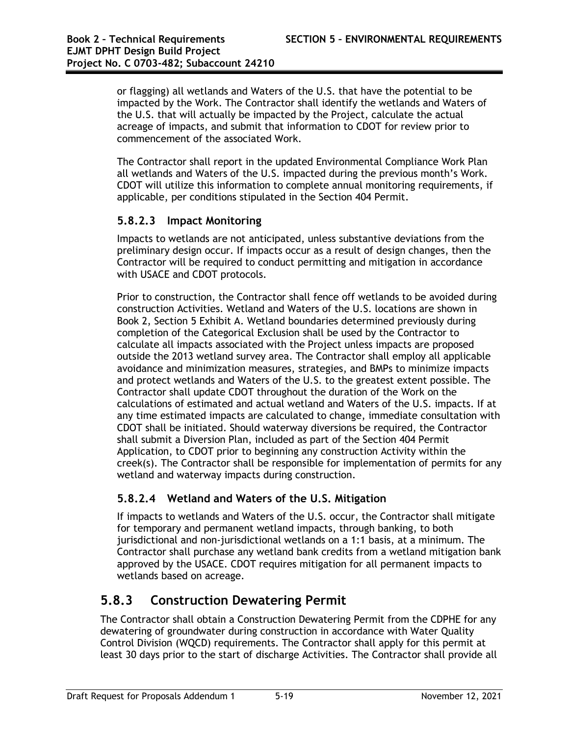or flagging) all wetlands and Waters of the U.S. that have the potential to be impacted by the Work. The Contractor shall identify the wetlands and Waters of the U.S. that will actually be impacted by the Project, calculate the actual acreage of impacts, and submit that information to CDOT for review prior to commencement of the associated Work.

The Contractor shall report in the updated Environmental Compliance Work Plan all wetlands and Waters of the U.S. impacted during the previous month's Work. CDOT will utilize this information to complete annual monitoring requirements, if applicable, per conditions stipulated in the Section 404 Permit.

### **5.8.2.3 Impact Monitoring**

Impacts to wetlands are not anticipated, unless substantive deviations from the preliminary design occur. If impacts occur as a result of design changes, then the Contractor will be required to conduct permitting and mitigation in accordance with USACE and CDOT protocols.

Prior to construction, the Contractor shall fence off wetlands to be avoided during construction Activities. Wetland and Waters of the U.S. locations are shown in Book 2, Section 5 Exhibit A. Wetland boundaries determined previously during completion of the Categorical Exclusion shall be used by the Contractor to calculate all impacts associated with the Project unless impacts are proposed outside the 2013 wetland survey area. The Contractor shall employ all applicable avoidance and minimization measures, strategies, and BMPs to minimize impacts and protect wetlands and Waters of the U.S. to the greatest extent possible. The Contractor shall update CDOT throughout the duration of the Work on the calculations of estimated and actual wetland and Waters of the U.S. impacts. If at any time estimated impacts are calculated to change, immediate consultation with CDOT shall be initiated. Should waterway diversions be required, the Contractor shall submit a Diversion Plan, included as part of the Section 404 Permit Application, to CDOT prior to beginning any construction Activity within the creek(s). The Contractor shall be responsible for implementation of permits for any wetland and waterway impacts during construction.

#### **5.8.2.4 Wetland and Waters of the U.S. Mitigation**

If impacts to wetlands and Waters of the U.S. occur, the Contractor shall mitigate for temporary and permanent wetland impacts, through banking, to both jurisdictional and non-jurisdictional wetlands on a 1:1 basis, at a minimum. The Contractor shall purchase any wetland bank credits from a wetland mitigation bank approved by the USACE. CDOT requires mitigation for all permanent impacts to wetlands based on acreage.

## **5.8.3 Construction Dewatering Permit**

The Contractor shall obtain a Construction Dewatering Permit from the CDPHE for any dewatering of groundwater during construction in accordance with Water Quality Control Division (WQCD) requirements. The Contractor shall apply for this permit at least 30 days prior to the start of discharge Activities. The Contractor shall provide all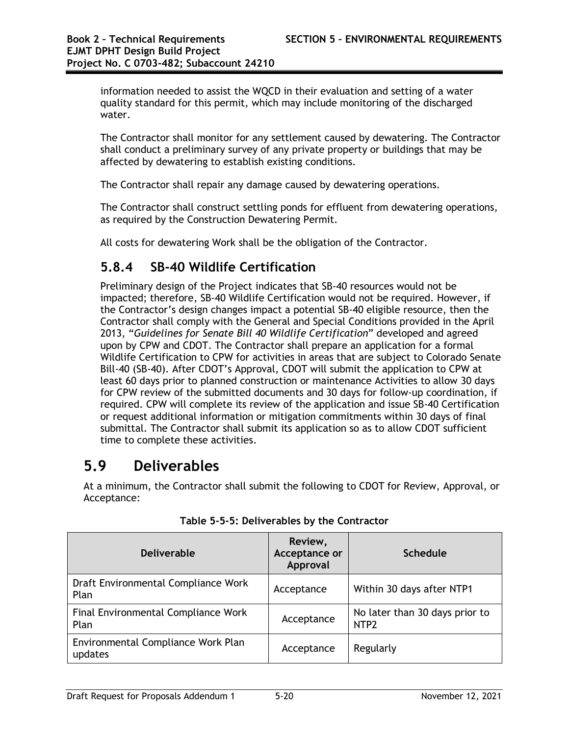information needed to assist the WQCD in their evaluation and setting of a water quality standard for this permit, which may include monitoring of the discharged water.

The Contractor shall monitor for any settlement caused by dewatering. The Contractor shall conduct a preliminary survey of any private property or buildings that may be affected by dewatering to establish existing conditions.

The Contractor shall repair any damage caused by dewatering operations.

The Contractor shall construct settling ponds for effluent from dewatering operations, as required by the Construction Dewatering Permit.

All costs for dewatering Work shall be the obligation of the Contractor.

## **5.8.4 SB-40 Wildlife Certification**

Preliminary design of the Project indicates that SB-40 resources would not be impacted; therefore, SB-40 Wildlife Certification would not be required. However, if the Contractor's design changes impact a potential SB-40 eligible resource, then the Contractor shall comply with the General and Special Conditions provided in the April 2013, "*Guidelines for Senate Bill 40 Wildlife Certification*" developed and agreed upon by CPW and CDOT. The Contractor shall prepare an application for a formal Wildlife Certification to CPW for activities in areas that are subject to Colorado Senate Bill-40 (SB-40). After CDOT's Approval, CDOT will submit the application to CPW at least 60 days prior to planned construction or maintenance Activities to allow 30 days for CPW review of the submitted documents and 30 days for follow-up coordination, if required. CPW will complete its review of the application and issue SB-40 Certification or request additional information or mitigation commitments within 30 days of final submittal. The Contractor shall submit its application so as to allow CDOT sufficient time to complete these activities.

# **5.9 Deliverables**

At a minimum, the Contractor shall submit the following to CDOT for Review, Approval, or Acceptance:

| <b>Deliverable</b>                            | Review,<br>Acceptance or<br>Approval | <b>Schedule</b>                                    |
|-----------------------------------------------|--------------------------------------|----------------------------------------------------|
| Draft Environmental Compliance Work<br>Plan   | Acceptance                           | Within 30 days after NTP1                          |
| Final Environmental Compliance Work<br>Plan   | Acceptance                           | No later than 30 days prior to<br>NTP <sub>2</sub> |
| Environmental Compliance Work Plan<br>updates | Acceptance                           | Regularly                                          |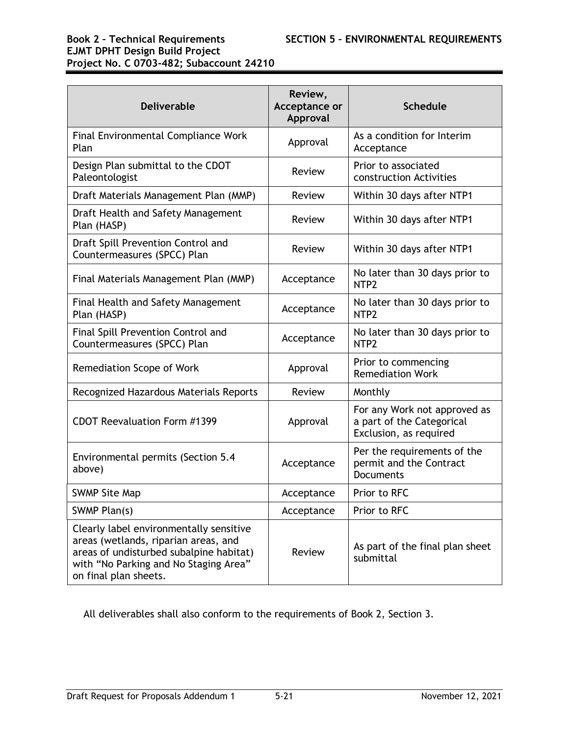# **EJMT DPHT Design Build Project Project No. C 0703-482; Subaccount 24210**

| <b>Deliverable</b>                                                                                                                                                                           | Review,<br>Acceptance or<br>Approval | <b>Schedule</b>                                                                     |
|----------------------------------------------------------------------------------------------------------------------------------------------------------------------------------------------|--------------------------------------|-------------------------------------------------------------------------------------|
| <b>Final Environmental Compliance Work</b><br>Plan                                                                                                                                           | Approval                             | As a condition for Interim<br>Acceptance                                            |
| Design Plan submittal to the CDOT<br>Paleontologist                                                                                                                                          | Review                               | Prior to associated<br>construction Activities                                      |
| Draft Materials Management Plan (MMP)                                                                                                                                                        | Review                               | Within 30 days after NTP1                                                           |
| Draft Health and Safety Management<br>Plan (HASP)                                                                                                                                            | Review                               | Within 30 days after NTP1                                                           |
| Draft Spill Prevention Control and<br>Countermeasures (SPCC) Plan                                                                                                                            | Review                               | Within 30 days after NTP1                                                           |
| Final Materials Management Plan (MMP)                                                                                                                                                        | Acceptance                           | No later than 30 days prior to<br>NTP <sub>2</sub>                                  |
| <b>Final Health and Safety Management</b><br>Plan (HASP)                                                                                                                                     | Acceptance                           | No later than 30 days prior to<br>NTP <sub>2</sub>                                  |
| Final Spill Prevention Control and<br>Countermeasures (SPCC) Plan                                                                                                                            | Acceptance                           | No later than 30 days prior to<br>NTP <sub>2</sub>                                  |
| Remediation Scope of Work                                                                                                                                                                    | Approval                             | Prior to commencing<br><b>Remediation Work</b>                                      |
| Recognized Hazardous Materials Reports                                                                                                                                                       | Review                               | Monthly                                                                             |
| CDOT Reevaluation Form #1399                                                                                                                                                                 | Approval                             | For any Work not approved as<br>a part of the Categorical<br>Exclusion, as required |
| Environmental permits (Section 5.4<br>above)                                                                                                                                                 | Acceptance                           | Per the requirements of the<br>permit and the Contract<br><b>Documents</b>          |
| <b>SWMP Site Map</b>                                                                                                                                                                         | Acceptance                           | Prior to RFC                                                                        |
| SWMP Plan(s)                                                                                                                                                                                 | Acceptance                           | Prior to RFC                                                                        |
| Clearly label environmentally sensitive<br>areas (wetlands, riparian areas, and<br>areas of undisturbed subalpine habitat)<br>with "No Parking and No Staging Area"<br>on final plan sheets. | Review                               | As part of the final plan sheet<br>submittal                                        |

All deliverables shall also conform to the requirements of Book 2, Section 3.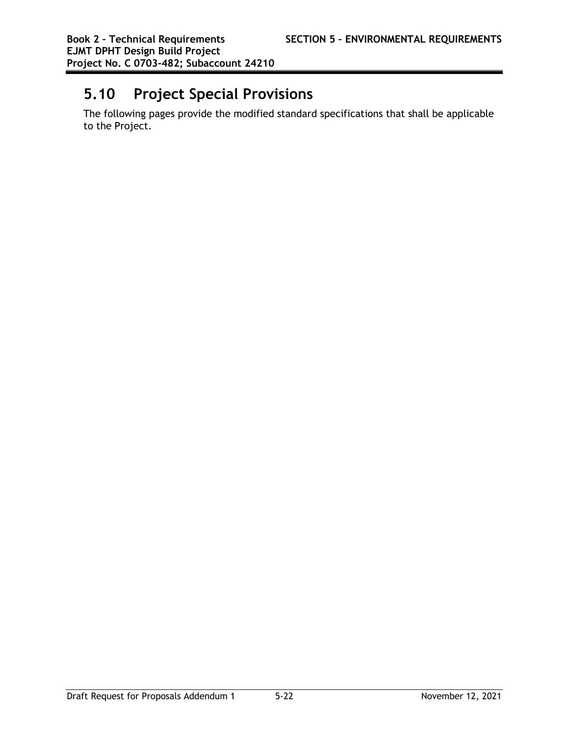# **5.10 Project Special Provisions**

The following pages provide the modified standard specifications that shall be applicable to the Project.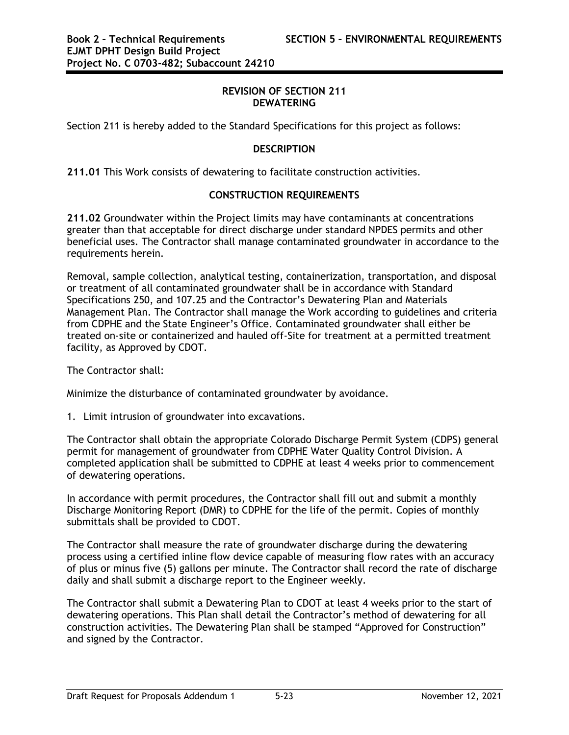#### **REVISION OF SECTION 211 DEWATERING**

Section 211 is hereby added to the Standard Specifications for this project as follows:

#### **DESCRIPTION**

**211.01** This Work consists of dewatering to facilitate construction activities.

#### **CONSTRUCTION REQUIREMENTS**

**211.02** Groundwater within the Project limits may have contaminants at concentrations greater than that acceptable for direct discharge under standard NPDES permits and other beneficial uses. The Contractor shall manage contaminated groundwater in accordance to the requirements herein.

Removal, sample collection, analytical testing, containerization, transportation, and disposal or treatment of all contaminated groundwater shall be in accordance with Standard Specifications 250, and 107.25 and the Contractor's Dewatering Plan and Materials Management Plan. The Contractor shall manage the Work according to guidelines and criteria from CDPHE and the State Engineer's Office. Contaminated groundwater shall either be treated on-site or containerized and hauled off-Site for treatment at a permitted treatment facility, as Approved by CDOT.

The Contractor shall:

Minimize the disturbance of contaminated groundwater by avoidance.

1. Limit intrusion of groundwater into excavations.

The Contractor shall obtain the appropriate Colorado Discharge Permit System (CDPS) general permit for management of groundwater from CDPHE Water Quality Control Division. A completed application shall be submitted to CDPHE at least 4 weeks prior to commencement of dewatering operations.

In accordance with permit procedures, the Contractor shall fill out and submit a monthly Discharge Monitoring Report (DMR) to CDPHE for the life of the permit. Copies of monthly submittals shall be provided to CDOT.

The Contractor shall measure the rate of groundwater discharge during the dewatering process using a certified inline flow device capable of measuring flow rates with an accuracy of plus or minus five (5) gallons per minute. The Contractor shall record the rate of discharge daily and shall submit a discharge report to the Engineer weekly.

The Contractor shall submit a Dewatering Plan to CDOT at least 4 weeks prior to the start of dewatering operations. This Plan shall detail the Contractor's method of dewatering for all construction activities. The Dewatering Plan shall be stamped "Approved for Construction" and signed by the Contractor.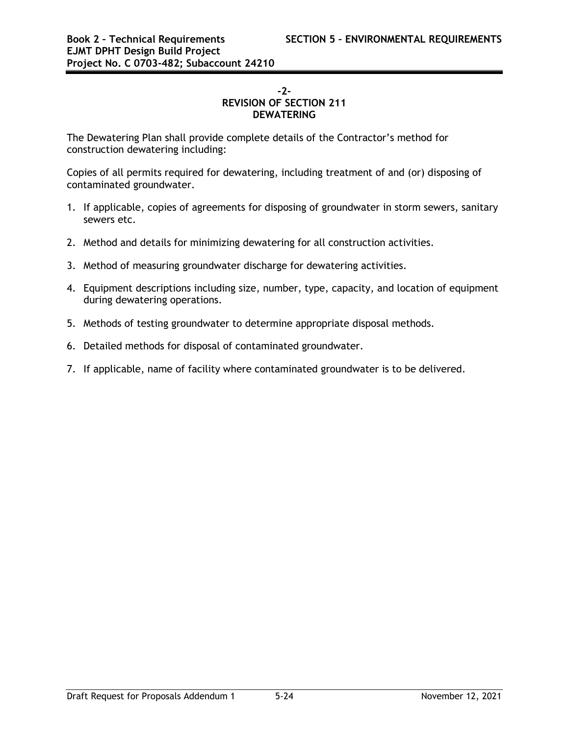#### **-2- REVISION OF SECTION 211 DEWATERING**

The Dewatering Plan shall provide complete details of the Contractor's method for construction dewatering including:

Copies of all permits required for dewatering, including treatment of and (or) disposing of contaminated groundwater.

- 1. If applicable, copies of agreements for disposing of groundwater in storm sewers, sanitary sewers etc.
- 2. Method and details for minimizing dewatering for all construction activities.
- 3. Method of measuring groundwater discharge for dewatering activities.
- 4. Equipment descriptions including size, number, type, capacity, and location of equipment during dewatering operations.
- 5. Methods of testing groundwater to determine appropriate disposal methods.
- 6. Detailed methods for disposal of contaminated groundwater.
- 7. If applicable, name of facility where contaminated groundwater is to be delivered.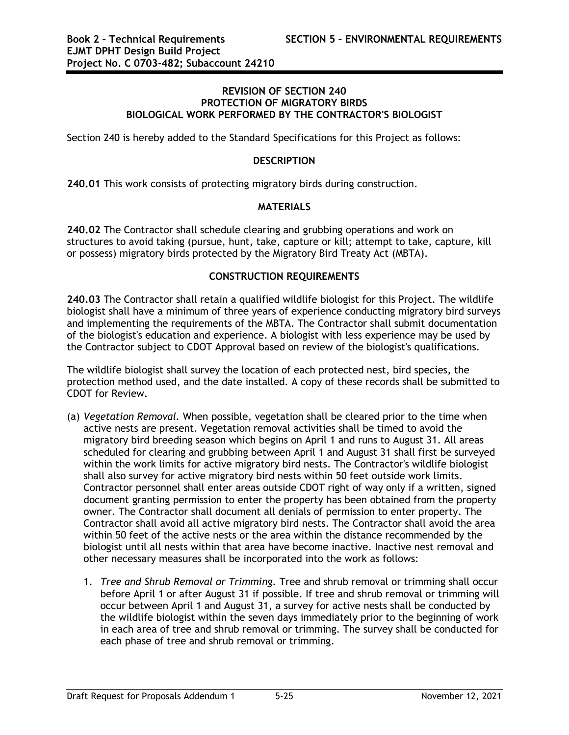#### **REVISION OF SECTION 240 PROTECTION OF MIGRATORY BIRDS BIOLOGICAL WORK PERFORMED BY THE CONTRACTOR'S BIOLOGIST**

Section 240 is hereby added to the Standard Specifications for this Project as follows:

#### **DESCRIPTION**

**240.01** This work consists of protecting migratory birds during construction.

#### **MATERIALS**

**240.02** The Contractor shall schedule clearing and grubbing operations and work on structures to avoid taking (pursue, hunt, take, capture or kill; attempt to take, capture, kill or possess) migratory birds protected by the Migratory Bird Treaty Act (MBTA).

#### **CONSTRUCTION REQUIREMENTS**

**240.03** The Contractor shall retain a qualified wildlife biologist for this Project. The wildlife biologist shall have a minimum of three years of experience conducting migratory bird surveys and implementing the requirements of the MBTA. The Contractor shall submit documentation of the biologist's education and experience. A biologist with less experience may be used by the Contractor subject to CDOT Approval based on review of the biologist's qualifications.

The wildlife biologist shall survey the location of each protected nest, bird species, the protection method used, and the date installed. A copy of these records shall be submitted to CDOT for Review.

- (a) *Vegetation Removal.* When possible, vegetation shall be cleared prior to the time when active nests are present. Vegetation removal activities shall be timed to avoid the migratory bird breeding season which begins on April 1 and runs to August 31. All areas scheduled for clearing and grubbing between April 1 and August 31 shall first be surveyed within the work limits for active migratory bird nests. The Contractor's wildlife biologist shall also survey for active migratory bird nests within 50 feet outside work limits. Contractor personnel shall enter areas outside CDOT right of way only if a written, signed document granting permission to enter the property has been obtained from the property owner. The Contractor shall document all denials of permission to enter property. The Contractor shall avoid all active migratory bird nests. The Contractor shall avoid the area within 50 feet of the active nests or the area within the distance recommended by the biologist until all nests within that area have become inactive. Inactive nest removal and other necessary measures shall be incorporated into the work as follows:
	- 1. *Tree and Shrub Removal or Trimming.* Tree and shrub removal or trimming shall occur before April 1 or after August 31 if possible. If tree and shrub removal or trimming will occur between April 1 and August 31, a survey for active nests shall be conducted by the wildlife biologist within the seven days immediately prior to the beginning of work in each area of tree and shrub removal or trimming. The survey shall be conducted for each phase of tree and shrub removal or trimming.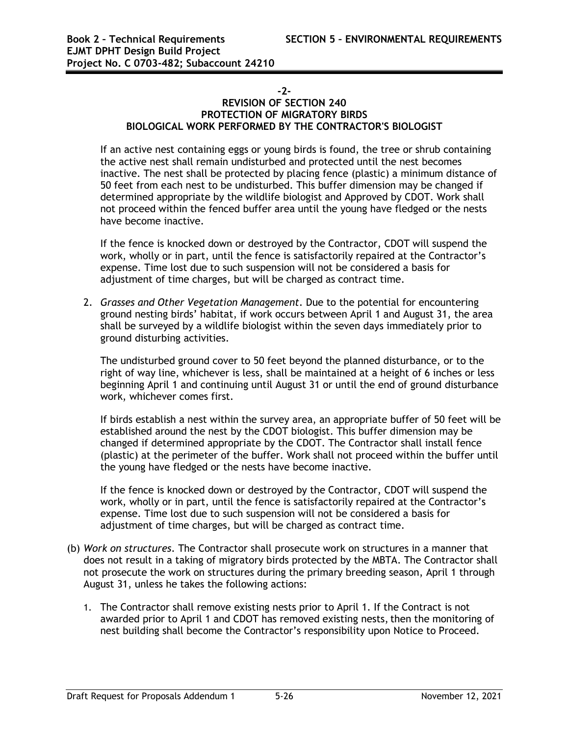#### **-2-**

#### **REVISION OF SECTION 240 PROTECTION OF MIGRATORY BIRDS BIOLOGICAL WORK PERFORMED BY THE CONTRACTOR'S BIOLOGIST**

If an active nest containing eggs or young birds is found, the tree or shrub containing the active nest shall remain undisturbed and protected until the nest becomes inactive. The nest shall be protected by placing fence (plastic) a minimum distance of 50 feet from each nest to be undisturbed. This buffer dimension may be changed if determined appropriate by the wildlife biologist and Approved by CDOT. Work shall not proceed within the fenced buffer area until the young have fledged or the nests have become inactive.

If the fence is knocked down or destroyed by the Contractor, CDOT will suspend the work, wholly or in part, until the fence is satisfactorily repaired at the Contractor's expense. Time lost due to such suspension will not be considered a basis for adjustment of time charges, but will be charged as contract time.

2. *Grasses and Other Vegetation Management*. Due to the potential for encountering ground nesting birds' habitat, if work occurs between April 1 and August 31, the area shall be surveyed by a wildlife biologist within the seven days immediately prior to ground disturbing activities.

The undisturbed ground cover to 50 feet beyond the planned disturbance, or to the right of way line, whichever is less, shall be maintained at a height of 6 inches or less beginning April 1 and continuing until August 31 or until the end of ground disturbance work, whichever comes first.

If birds establish a nest within the survey area, an appropriate buffer of 50 feet will be established around the nest by the CDOT biologist. This buffer dimension may be changed if determined appropriate by the CDOT. The Contractor shall install fence (plastic) at the perimeter of the buffer. Work shall not proceed within the buffer until the young have fledged or the nests have become inactive.

If the fence is knocked down or destroyed by the Contractor, CDOT will suspend the work, wholly or in part, until the fence is satisfactorily repaired at the Contractor's expense. Time lost due to such suspension will not be considered a basis for adjustment of time charges, but will be charged as contract time.

- (b) *Work on structures*. The Contractor shall prosecute work on structures in a manner that does not result in a taking of migratory birds protected by the MBTA. The Contractor shall not prosecute the work on structures during the primary breeding season, April 1 through August 31, unless he takes the following actions:
	- 1. The Contractor shall remove existing nests prior to April 1. If the Contract is not awarded prior to April 1 and CDOT has removed existing nests, then the monitoring of nest building shall become the Contractor's responsibility upon Notice to Proceed.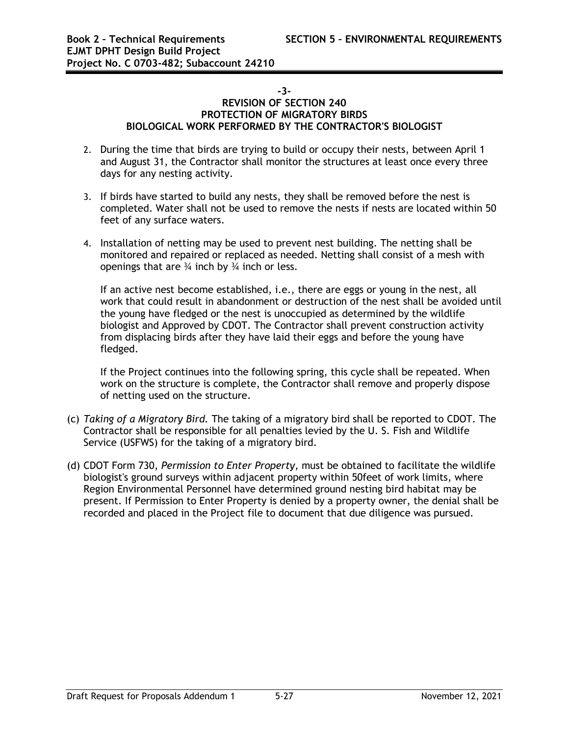#### **-3-**

#### **REVISION OF SECTION 240 PROTECTION OF MIGRATORY BIRDS BIOLOGICAL WORK PERFORMED BY THE CONTRACTOR'S BIOLOGIST**

- 2. During the time that birds are trying to build or occupy their nests, between April 1 and August 31, the Contractor shall monitor the structures at least once every three days for any nesting activity.
- 3. If birds have started to build any nests, they shall be removed before the nest is completed. Water shall not be used to remove the nests if nests are located within 50 feet of any surface waters.
- 4. Installation of netting may be used to prevent nest building. The netting shall be monitored and repaired or replaced as needed. Netting shall consist of a mesh with openings that are  $\frac{3}{4}$  inch by  $\frac{3}{4}$  inch or less.

If an active nest become established, i.e., there are eggs or young in the nest, all work that could result in abandonment or destruction of the nest shall be avoided until the young have fledged or the nest is unoccupied as determined by the wildlife biologist and Approved by CDOT. The Contractor shall prevent construction activity from displacing birds after they have laid their eggs and before the young have fledged.

If the Project continues into the following spring, this cycle shall be repeated. When work on the structure is complete, the Contractor shall remove and properly dispose of netting used on the structure.

- (c) *Taking of a Migratory Bird.* The taking of a migratory bird shall be reported to CDOT. The Contractor shall be responsible for all penalties levied by the U. S. Fish and Wildlife Service (USFWS) for the taking of a migratory bird.
- (d) CDOT Form 730, *Permission to Enter Property*, must be obtained to facilitate the wildlife biologist's ground surveys within adjacent property within 50feet of work limits, where Region Environmental Personnel have determined ground nesting bird habitat may be present. If Permission to Enter Property is denied by a property owner, the denial shall be recorded and placed in the Project file to document that due diligence was pursued.